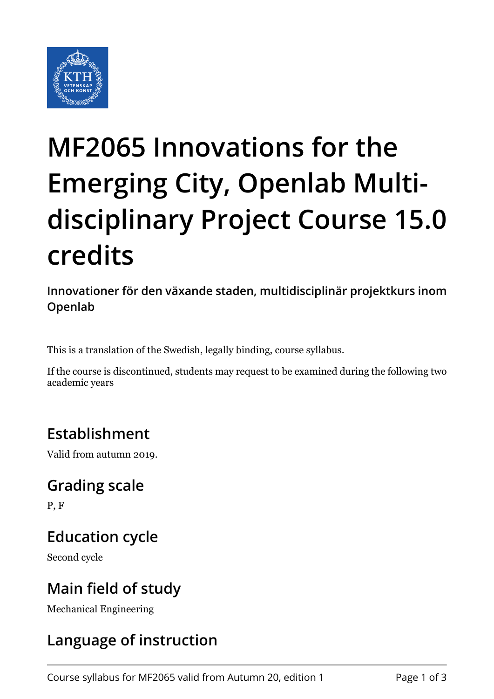

# **MF2065 Innovations for the Emerging City, Openlab Multidisciplinary Project Course 15.0 credits**

**Innovationer för den växande staden, multidisciplinär projektkurs inom Openlab**

This is a translation of the Swedish, legally binding, course syllabus.

If the course is discontinued, students may request to be examined during the following two academic years

## **Establishment**

Valid from autumn 2019.

#### **Grading scale**

P, F

## **Education cycle**

Second cycle

## **Main field of study**

Mechanical Engineering

## **Language of instruction**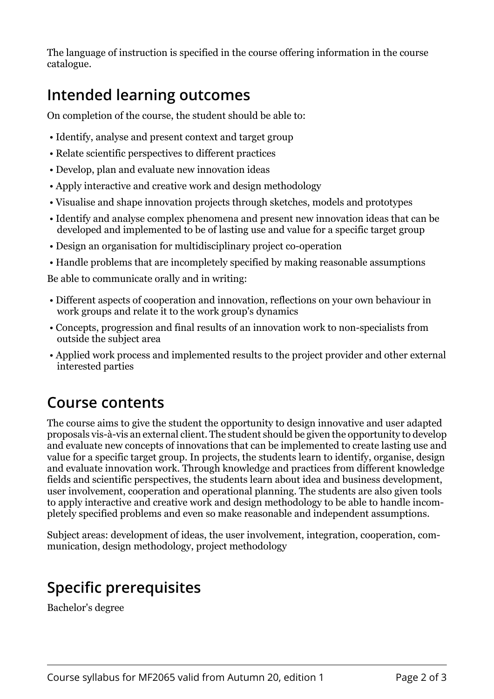The language of instruction is specified in the course offering information in the course catalogue.

## **Intended learning outcomes**

On completion of the course, the student should be able to:

- Identify, analyse and present context and target group
- Relate scientific perspectives to different practices
- Develop, plan and evaluate new innovation ideas
- Apply interactive and creative work and design methodology
- Visualise and shape innovation projects through sketches, models and prototypes
- Identify and analyse complex phenomena and present new innovation ideas that can be developed and implemented to be of lasting use and value for a specific target group
- Design an organisation for multidisciplinary project co-operation
- Handle problems that are incompletely specified by making reasonable assumptions

Be able to communicate orally and in writing:

- Different aspects of cooperation and innovation, reflections on your own behaviour in work groups and relate it to the work group's dynamics
- Concepts, progression and final results of an innovation work to non-specialists from outside the subject area
- Applied work process and implemented results to the project provider and other external interested parties

#### **Course contents**

The course aims to give the student the opportunity to design innovative and user adapted proposals vis-à-vis an external client. The student should be given the opportunity to develop and evaluate new concepts of innovations that can be implemented to create lasting use and value for a specific target group. In projects, the students learn to identify, organise, design and evaluate innovation work. Through knowledge and practices from different knowledge fields and scientific perspectives, the students learn about idea and business development, user involvement, cooperation and operational planning. The students are also given tools to apply interactive and creative work and design methodology to be able to handle incompletely specified problems and even so make reasonable and independent assumptions.

Subject areas: development of ideas, the user involvement, integration, cooperation, communication, design methodology, project methodology

## **Specific prerequisites**

Bachelor's degree